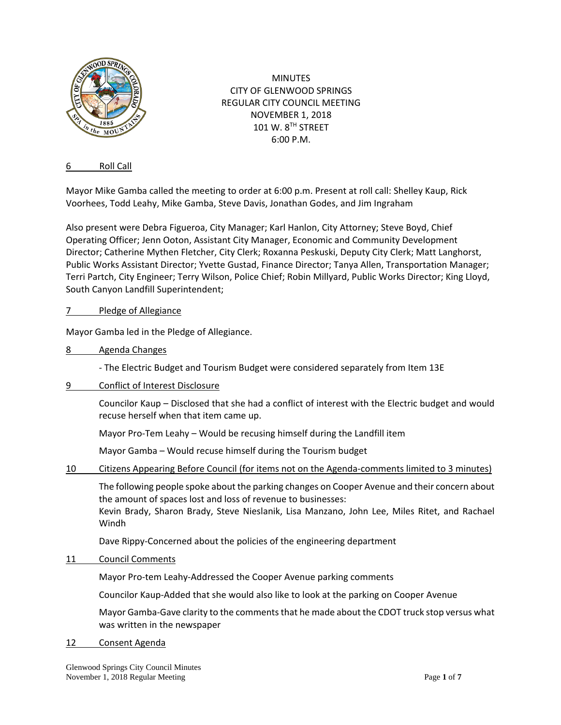

MINUTES CITY OF GLENWOOD SPRINGS REGULAR CITY COUNCIL MEETING NOVEMBER 1, 2018  $101 W. 8<sup>TH</sup>$  STREET 6:00 P.M.

## 6 Roll Call

Mayor Mike Gamba called the meeting to order at 6:00 p.m. Present at roll call: Shelley Kaup, Rick Voorhees, Todd Leahy, Mike Gamba, Steve Davis, Jonathan Godes, and Jim Ingraham

Also present were Debra Figueroa, City Manager; Karl Hanlon, City Attorney; Steve Boyd, Chief Operating Officer; Jenn Ooton, Assistant City Manager, Economic and Community Development Director; Catherine Mythen Fletcher, City Clerk; Roxanna Peskuski, Deputy City Clerk; Matt Langhorst, Public Works Assistant Director; Yvette Gustad, Finance Director; Tanya Allen, Transportation Manager; Terri Partch, City Engineer; Terry Wilson, Police Chief; Robin Millyard, Public Works Director; King Lloyd, South Canyon Landfill Superintendent;

# 7 Pledge of Allegiance

Mayor Gamba led in the Pledge of Allegiance.

8 Agenda Changes

- The Electric Budget and Tourism Budget were considered separately from Item 13E

9 Conflict of Interest Disclosure

Councilor Kaup – Disclosed that she had a conflict of interest with the Electric budget and would recuse herself when that item came up.

Mayor Pro-Tem Leahy – Would be recusing himself during the Landfill item

Mayor Gamba – Would recuse himself during the Tourism budget

10 Citizens Appearing Before Council (for items not on the Agenda-comments limited to 3 minutes)

The following people spoke about the parking changes on Cooper Avenue and their concern about the amount of spaces lost and loss of revenue to businesses:

Kevin Brady, Sharon Brady, Steve Nieslanik, Lisa Manzano, John Lee, Miles Ritet, and Rachael Windh

Dave Rippy-Concerned about the policies of the engineering department

11 Council Comments

Mayor Pro-tem Leahy-Addressed the Cooper Avenue parking comments

Councilor Kaup-Added that she would also like to look at the parking on Cooper Avenue

Mayor Gamba-Gave clarity to the comments that he made about the CDOT truck stop versus what was written in the newspaper

12 Consent Agenda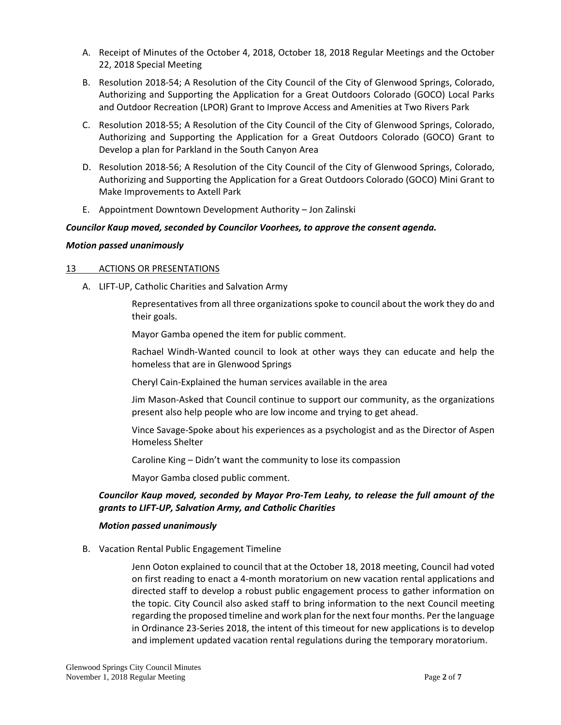- A. Receipt of Minutes of the October 4, 2018, October 18, 2018 Regular Meetings and the October 22, 2018 Special Meeting
- B. Resolution 2018-54; A Resolution of the City Council of the City of Glenwood Springs, Colorado, Authorizing and Supporting the Application for a Great Outdoors Colorado (GOCO) Local Parks and Outdoor Recreation (LPOR) Grant to Improve Access and Amenities at Two Rivers Park
- C. Resolution 2018-55; A Resolution of the City Council of the City of Glenwood Springs, Colorado, Authorizing and Supporting the Application for a Great Outdoors Colorado (GOCO) Grant to Develop a plan for Parkland in the South Canyon Area
- D. Resolution 2018-56; A Resolution of the City Council of the City of Glenwood Springs, Colorado, Authorizing and Supporting the Application for a Great Outdoors Colorado (GOCO) Mini Grant to Make Improvements to Axtell Park
- E. Appointment Downtown Development Authority Jon Zalinski

# *Councilor Kaup moved, seconded by Councilor Voorhees, to approve the consent agenda.*

## *Motion passed unanimously*

## 13 ACTIONS OR PRESENTATIONS

A. LIFT-UP, Catholic Charities and Salvation Army

Representatives from all three organizations spoke to council about the work they do and their goals.

Mayor Gamba opened the item for public comment.

Rachael Windh-Wanted council to look at other ways they can educate and help the homeless that are in Glenwood Springs

Cheryl Cain-Explained the human services available in the area

Jim Mason-Asked that Council continue to support our community, as the organizations present also help people who are low income and trying to get ahead.

Vince Savage-Spoke about his experiences as a psychologist and as the Director of Aspen Homeless Shelter

Caroline King – Didn't want the community to lose its compassion

Mayor Gamba closed public comment.

# *Councilor Kaup moved, seconded by Mayor Pro-Tem Leahy, to release the full amount of the grants to LIFT-UP, Salvation Army, and Catholic Charities*

## *Motion passed unanimously*

B. Vacation Rental Public Engagement Timeline

Jenn Ooton explained to council that at the October 18, 2018 meeting, Council had voted on first reading to enact a 4-month moratorium on new vacation rental applications and directed staff to develop a robust public engagement process to gather information on the topic. City Council also asked staff to bring information to the next Council meeting regarding the proposed timeline and work plan for the next four months. Per the language in Ordinance 23-Series 2018, the intent of this timeout for new applications is to develop and implement updated vacation rental regulations during the temporary moratorium.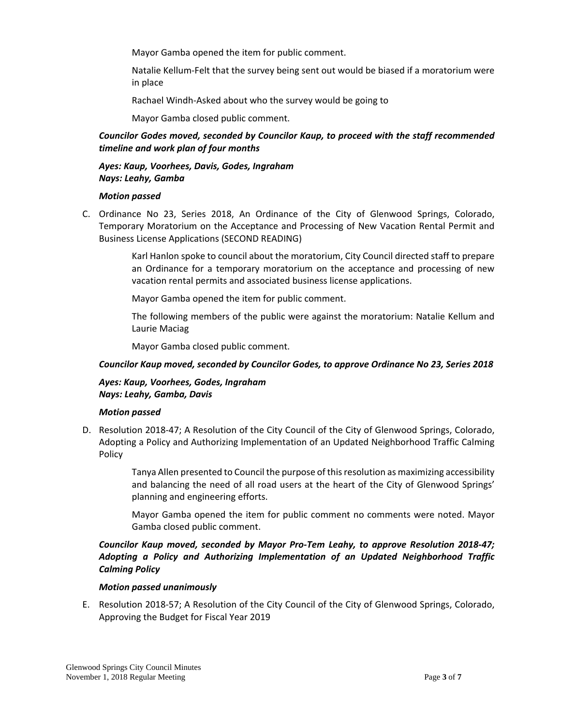Mayor Gamba opened the item for public comment.

Natalie Kellum-Felt that the survey being sent out would be biased if a moratorium were in place

Rachael Windh-Asked about who the survey would be going to

Mayor Gamba closed public comment.

# *Councilor Godes moved, seconded by Councilor Kaup, to proceed with the staff recommended timeline and work plan of four months*

## *Ayes: Kaup, Voorhees, Davis, Godes, Ingraham Nays: Leahy, Gamba*

#### *Motion passed*

C. Ordinance No 23, Series 2018, An Ordinance of the City of Glenwood Springs, Colorado, Temporary Moratorium on the Acceptance and Processing of New Vacation Rental Permit and Business License Applications (SECOND READING)

> Karl Hanlon spoke to council about the moratorium, City Council directed staff to prepare an Ordinance for a temporary moratorium on the acceptance and processing of new vacation rental permits and associated business license applications.

Mayor Gamba opened the item for public comment.

The following members of the public were against the moratorium: Natalie Kellum and Laurie Maciag

Mayor Gamba closed public comment.

## *Councilor Kaup moved, seconded by Councilor Godes, to approve Ordinance No 23, Series 2018*

#### *Ayes: Kaup, Voorhees, Godes, Ingraham Nays: Leahy, Gamba, Davis*

## *Motion passed*

D. Resolution 2018-47; A Resolution of the City Council of the City of Glenwood Springs, Colorado, Adopting a Policy and Authorizing Implementation of an Updated Neighborhood Traffic Calming Policy

> Tanya Allen presented to Council the purpose of this resolution as maximizing accessibility and balancing the need of all road users at the heart of the City of Glenwood Springs' planning and engineering efforts.

> Mayor Gamba opened the item for public comment no comments were noted. Mayor Gamba closed public comment.

# *Councilor Kaup moved, seconded by Mayor Pro-Tem Leahy, to approve Resolution 2018-47; Adopting a Policy and Authorizing Implementation of an Updated Neighborhood Traffic Calming Policy*

## *Motion passed unanimously*

E. Resolution 2018-57; A Resolution of the City Council of the City of Glenwood Springs, Colorado, Approving the Budget for Fiscal Year 2019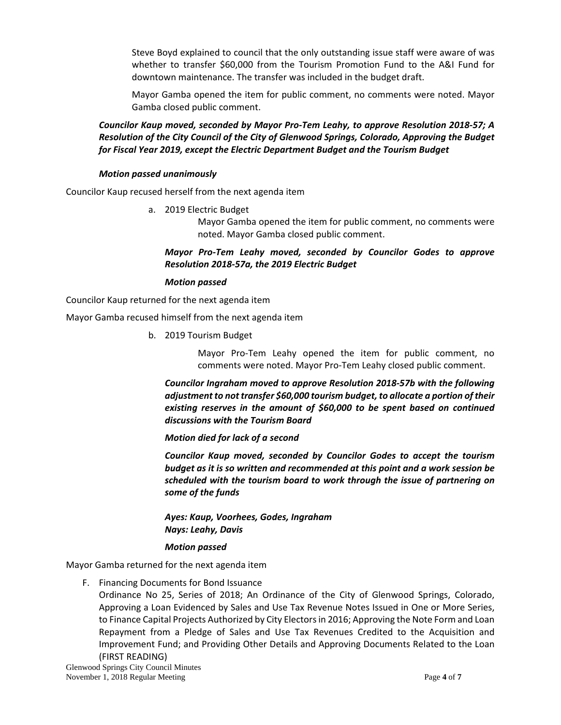Steve Boyd explained to council that the only outstanding issue staff were aware of was whether to transfer \$60,000 from the Tourism Promotion Fund to the A&I Fund for downtown maintenance. The transfer was included in the budget draft.

Mayor Gamba opened the item for public comment, no comments were noted. Mayor Gamba closed public comment.

# *Councilor Kaup moved, seconded by Mayor Pro-Tem Leahy, to approve Resolution 2018-57; A Resolution of the City Council of the City of Glenwood Springs, Colorado, Approving the Budget for Fiscal Year 2019, except the Electric Department Budget and the Tourism Budget*

## *Motion passed unanimously*

Councilor Kaup recused herself from the next agenda item

a. 2019 Electric Budget

Mayor Gamba opened the item for public comment, no comments were noted. Mayor Gamba closed public comment.

# *Mayor Pro-Tem Leahy moved, seconded by Councilor Godes to approve Resolution 2018-57a, the 2019 Electric Budget*

# *Motion passed*

Councilor Kaup returned for the next agenda item

Mayor Gamba recused himself from the next agenda item

b. 2019 Tourism Budget

Mayor Pro-Tem Leahy opened the item for public comment, no comments were noted. Mayor Pro-Tem Leahy closed public comment.

*Councilor Ingraham moved to approve Resolution 2018-57b with the following adjustment to not transfer \$60,000 tourism budget, to allocate a portion of their existing reserves in the amount of \$60,000 to be spent based on continued discussions with the Tourism Board*

*Motion died for lack of a second*

*Councilor Kaup moved, seconded by Councilor Godes to accept the tourism budget as it is so written and recommended at this point and a work session be scheduled with the tourism board to work through the issue of partnering on some of the funds*

*Ayes: Kaup, Voorhees, Godes, Ingraham Nays: Leahy, Davis*

## *Motion passed*

Mayor Gamba returned for the next agenda item

F. Financing Documents for Bond Issuance

Ordinance No 25, Series of 2018; An Ordinance of the City of Glenwood Springs, Colorado, Approving a Loan Evidenced by Sales and Use Tax Revenue Notes Issued in One or More Series, to Finance Capital Projects Authorized by City Electors in 2016; Approving the Note Form and Loan Repayment from a Pledge of Sales and Use Tax Revenues Credited to the Acquisition and Improvement Fund; and Providing Other Details and Approving Documents Related to the Loan (FIRST READING)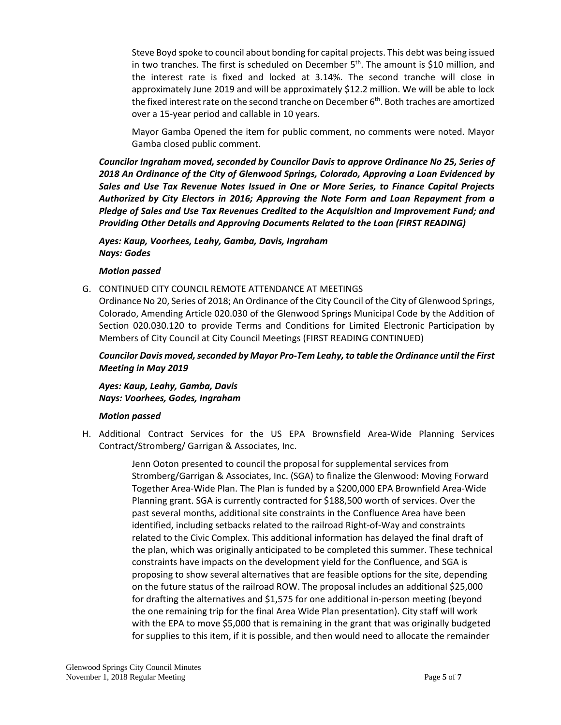Steve Boyd spoke to council about bonding for capital projects. This debt was being issued in two tranches. The first is scheduled on December  $5<sup>th</sup>$ . The amount is \$10 million, and the interest rate is fixed and locked at 3.14%. The second tranche will close in approximately June 2019 and will be approximately \$12.2 million. We will be able to lock the fixed interest rate on the second tranche on December 6<sup>th</sup>. Both traches are amortized over a 15-year period and callable in 10 years.

Mayor Gamba Opened the item for public comment, no comments were noted. Mayor Gamba closed public comment.

*Councilor Ingraham moved, seconded by Councilor Davis to approve Ordinance No 25, Series of 2018 An Ordinance of the City of Glenwood Springs, Colorado, Approving a Loan Evidenced by Sales and Use Tax Revenue Notes Issued in One or More Series, to Finance Capital Projects Authorized by City Electors in 2016; Approving the Note Form and Loan Repayment from a*  Pledge of Sales and Use Tax Revenues Credited to the Acquisition and Improvement Fund; and *Providing Other Details and Approving Documents Related to the Loan (FIRST READING)*

# *Ayes: Kaup, Voorhees, Leahy, Gamba, Davis, Ingraham Nays: Godes*

## *Motion passed*

G. CONTINUED CITY COUNCIL REMOTE ATTENDANCE AT MEETINGS

Ordinance No 20, Series of 2018; An Ordinance of the City Council of the City of Glenwood Springs, Colorado, Amending Article 020.030 of the Glenwood Springs Municipal Code by the Addition of Section 020.030.120 to provide Terms and Conditions for Limited Electronic Participation by Members of City Council at City Council Meetings (FIRST READING CONTINUED)

# *Councilor Davis moved, seconded by Mayor Pro-Tem Leahy, to table the Ordinance until the First Meeting in May 2019*

*Ayes: Kaup, Leahy, Gamba, Davis Nays: Voorhees, Godes, Ingraham*

## *Motion passed*

H. Additional Contract Services for the US EPA Brownsfield Area-Wide Planning Services Contract/Stromberg/ Garrigan & Associates, Inc.

> Jenn Ooton presented to council the proposal for supplemental services from Stromberg/Garrigan & Associates, Inc. (SGA) to finalize the Glenwood: Moving Forward Together Area-Wide Plan. The Plan is funded by a \$200,000 EPA Brownfield Area-Wide Planning grant. SGA is currently contracted for \$188,500 worth of services. Over the past several months, additional site constraints in the Confluence Area have been identified, including setbacks related to the railroad Right-of-Way and constraints related to the Civic Complex. This additional information has delayed the final draft of the plan, which was originally anticipated to be completed this summer. These technical constraints have impacts on the development yield for the Confluence, and SGA is proposing to show several alternatives that are feasible options for the site, depending on the future status of the railroad ROW. The proposal includes an additional \$25,000 for drafting the alternatives and \$1,575 for one additional in-person meeting (beyond the one remaining trip for the final Area Wide Plan presentation). City staff will work with the EPA to move \$5,000 that is remaining in the grant that was originally budgeted for supplies to this item, if it is possible, and then would need to allocate the remainder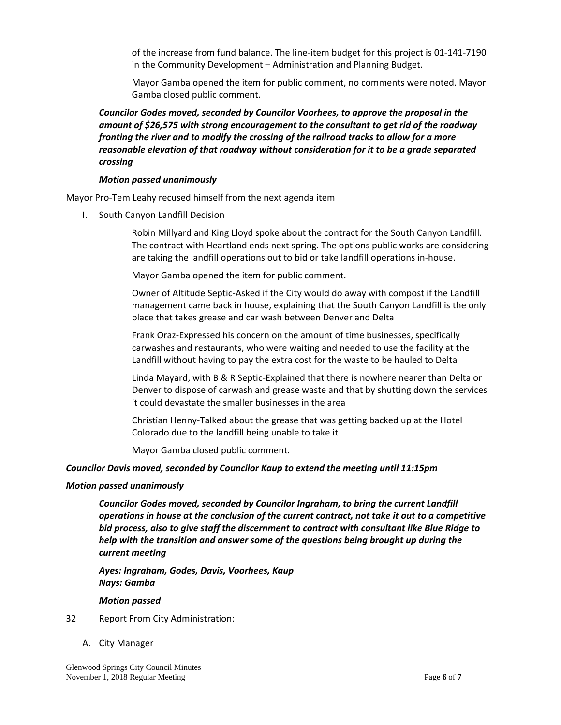of the increase from fund balance. The line-item budget for this project is 01-141-7190 in the Community Development – Administration and Planning Budget.

Mayor Gamba opened the item for public comment, no comments were noted. Mayor Gamba closed public comment.

*Councilor Godes moved, seconded by Councilor Voorhees, to approve the proposal in the amount of \$26,575 with strong encouragement to the consultant to get rid of the roadway fronting the river and to modify the crossing of the railroad tracks to allow for a more reasonable elevation of that roadway without consideration for it to be a grade separated crossing*

#### *Motion passed unanimously*

Mayor Pro-Tem Leahy recused himself from the next agenda item

I. South Canyon Landfill Decision

Robin Millyard and King Lloyd spoke about the contract for the South Canyon Landfill. The contract with Heartland ends next spring. The options public works are considering are taking the landfill operations out to bid or take landfill operations in-house.

Mayor Gamba opened the item for public comment.

Owner of Altitude Septic-Asked if the City would do away with compost if the Landfill management came back in house, explaining that the South Canyon Landfill is the only place that takes grease and car wash between Denver and Delta

Frank Oraz-Expressed his concern on the amount of time businesses, specifically carwashes and restaurants, who were waiting and needed to use the facility at the Landfill without having to pay the extra cost for the waste to be hauled to Delta

Linda Mayard, with B & R Septic-Explained that there is nowhere nearer than Delta or Denver to dispose of carwash and grease waste and that by shutting down the services it could devastate the smaller businesses in the area

Christian Henny-Talked about the grease that was getting backed up at the Hotel Colorado due to the landfill being unable to take it

Mayor Gamba closed public comment.

## *Councilor Davis moved, seconded by Councilor Kaup to extend the meeting until 11:15pm*

#### *Motion passed unanimously*

*Councilor Godes moved, seconded by Councilor Ingraham, to bring the current Landfill operations in house at the conclusion of the current contract, not take it out to a competitive bid process, also to give staff the discernment to contract with consultant like Blue Ridge to help with the transition and answer some of the questions being brought up during the current meeting*

*Ayes: Ingraham, Godes, Davis, Voorhees, Kaup Nays: Gamba*

*Motion passed*

#### 32 Report From City Administration:

A. City Manager